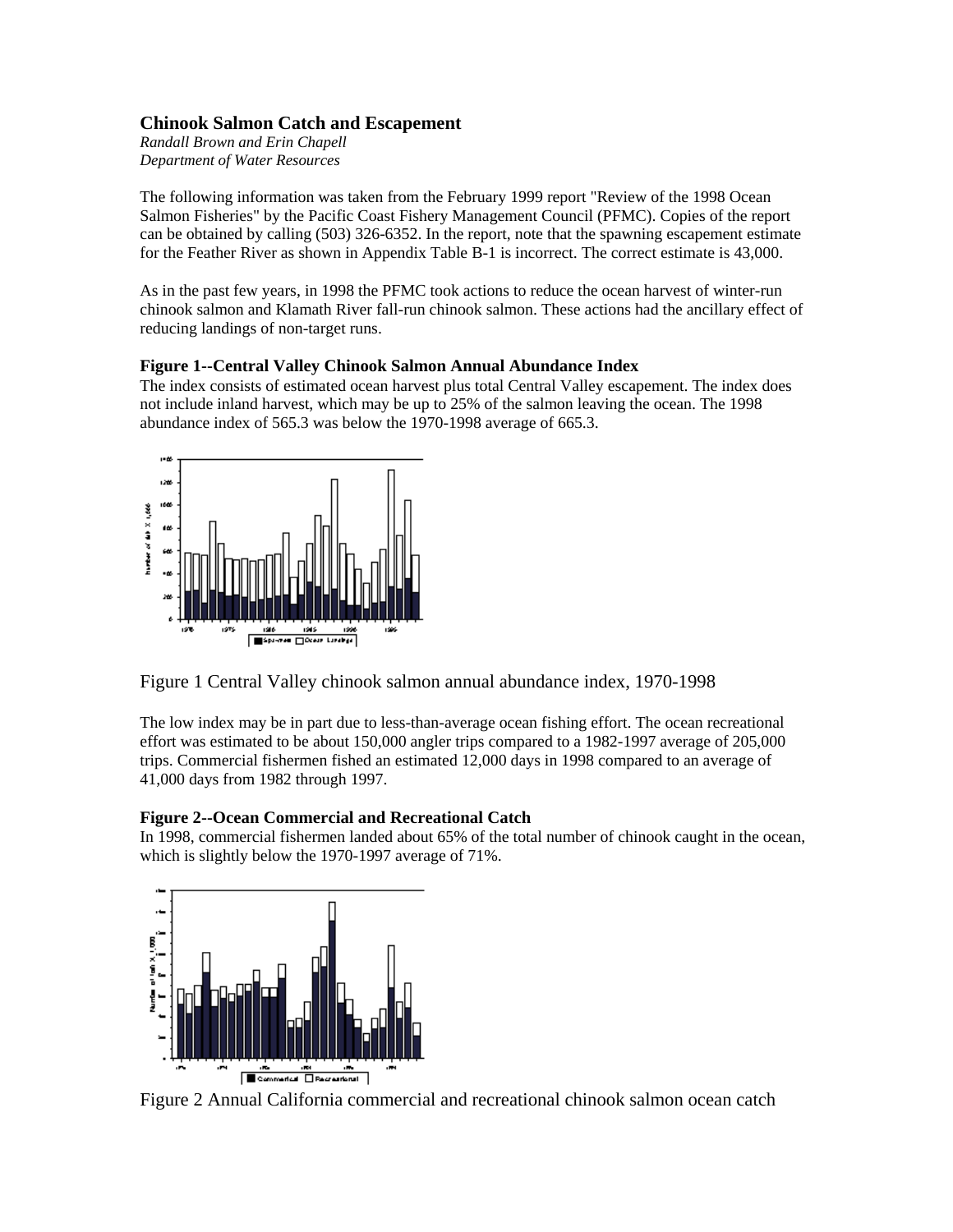## **Chinook Salmon Catch and Escapement**

*Randall Brown and Erin Chapell Department of Water Resources* 

The following information was taken from the February 1999 report "Review of the 1998 Ocean Salmon Fisheries" by the Pacific Coast Fishery Management Council (PFMC). Copies of the report can be obtained by calling (503) 326-6352. In the report, note that the spawning escapement estimate for the Feather River as shown in Appendix Table B-1 is incorrect. The correct estimate is 43,000.

As in the past few years, in 1998 the PFMC took actions to reduce the ocean harvest of winter-run chinook salmon and Klamath River fall-run chinook salmon. These actions had the ancillary effect of reducing landings of non-target runs.

## **Figure 1--Central Valley Chinook Salmon Annual Abundance Index**

The index consists of estimated ocean harvest plus total Central Valley escapement. The index does not include inland harvest, which may be up to 25% of the salmon leaving the ocean. The 1998 abundance index of 565.3 was below the 1970-1998 average of 665.3.



Figure 1 Central Valley chinook salmon annual abundance index, 1970-1998

The low index may be in part due to less-than-average ocean fishing effort. The ocean recreational effort was estimated to be about 150,000 angler trips compared to a 1982-1997 average of 205,000 trips. Commercial fishermen fished an estimated 12,000 days in 1998 compared to an average of 41,000 days from 1982 through 1997.

# **Figure 2--Ocean Commercial and Recreational Catch**

In 1998, commercial fishermen landed about 65% of the total number of chinook caught in the ocean, which is slightly below the 1970-1997 average of 71%.



Figure 2 Annual California commercial and recreational chinook salmon ocean catch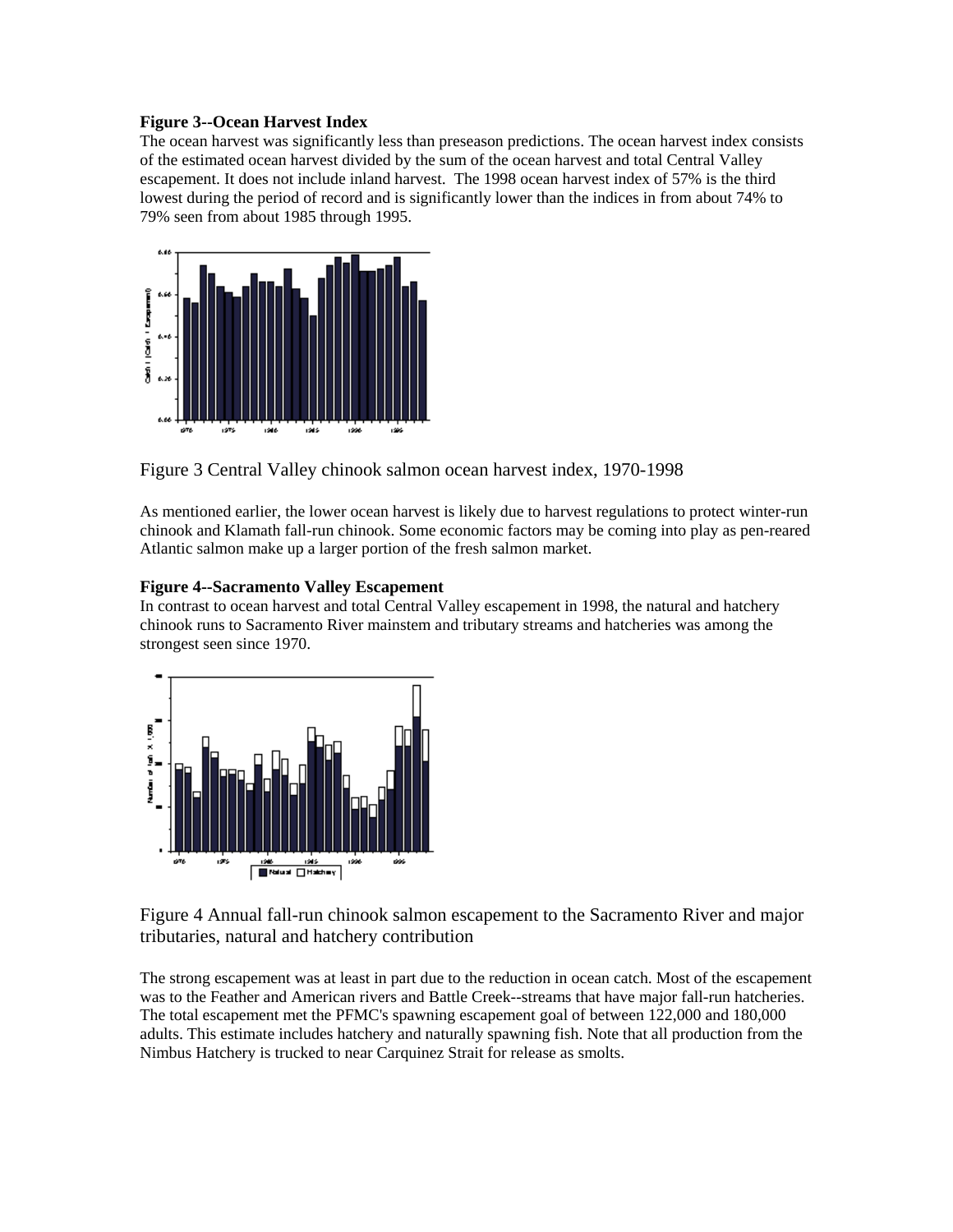### **Figure 3--Ocean Harvest Index**

The ocean harvest was significantly less than preseason predictions. The ocean harvest index consists of the estimated ocean harvest divided by the sum of the ocean harvest and total Central Valley escapement. It does not include inland harvest. The 1998 ocean harvest index of 57% is the third lowest during the period of record and is significantly lower than the indices in from about 74% to 79% seen from about 1985 through 1995.



Figure 3 Central Valley chinook salmon ocean harvest index, 1970-1998

As mentioned earlier, the lower ocean harvest is likely due to harvest regulations to protect winter-run chinook and Klamath fall-run chinook. Some economic factors may be coming into play as pen-reared Atlantic salmon make up a larger portion of the fresh salmon market.

### **Figure 4--Sacramento Valley Escapement**

In contrast to ocean harvest and total Central Valley escapement in 1998, the natural and hatchery chinook runs to Sacramento River mainstem and tributary streams and hatcheries was among the strongest seen since 1970.



Figure 4 Annual fall-run chinook salmon escapement to the Sacramento River and major tributaries, natural and hatchery contribution

The strong escapement was at least in part due to the reduction in ocean catch. Most of the escapement was to the Feather and American rivers and Battle Creek--streams that have major fall-run hatcheries. The total escapement met the PFMC's spawning escapement goal of between 122,000 and 180,000 adults. This estimate includes hatchery and naturally spawning fish. Note that all production from the Nimbus Hatchery is trucked to near Carquinez Strait for release as smolts.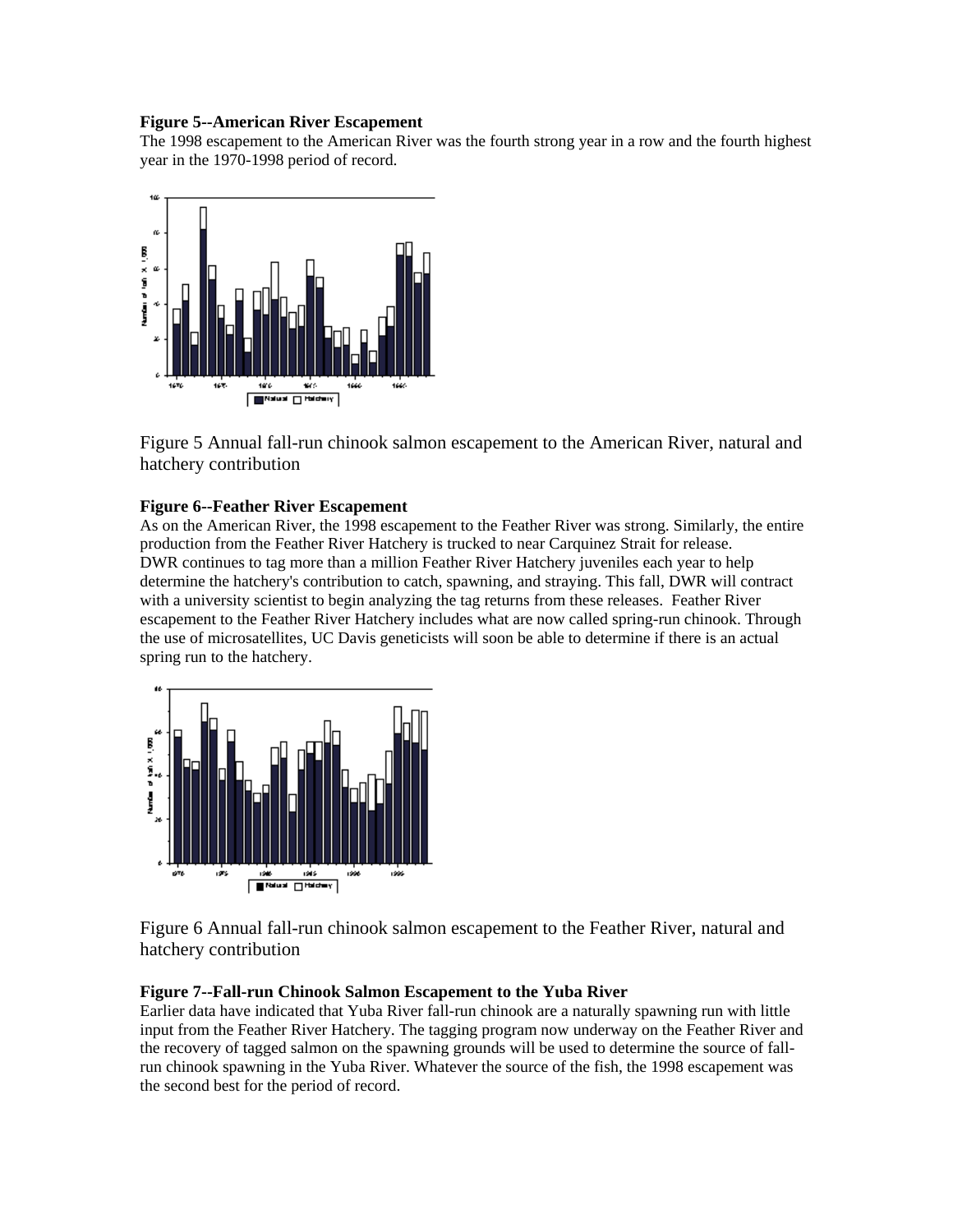### **Figure 5--American River Escapement**

The 1998 escapement to the American River was the fourth strong year in a row and the fourth highest year in the 1970-1998 period of record.



Figure 5 Annual fall-run chinook salmon escapement to the American River, natural and hatchery contribution

### **Figure 6--Feather River Escapement**

As on the American River, the 1998 escapement to the Feather River was strong. Similarly, the entire production from the Feather River Hatchery is trucked to near Carquinez Strait for release. DWR continues to tag more than a million Feather River Hatchery juveniles each year to help determine the hatchery's contribution to catch, spawning, and straying. This fall, DWR will contract with a university scientist to begin analyzing the tag returns from these releases. Feather River escapement to the Feather River Hatchery includes what are now called spring-run chinook. Through the use of microsatellites, UC Davis geneticists will soon be able to determine if there is an actual spring run to the hatchery.



Figure 6 Annual fall-run chinook salmon escapement to the Feather River, natural and hatchery contribution

### **Figure 7--Fall-run Chinook Salmon Escapement to the Yuba River**

Earlier data have indicated that Yuba River fall-run chinook are a naturally spawning run with little input from the Feather River Hatchery. The tagging program now underway on the Feather River and the recovery of tagged salmon on the spawning grounds will be used to determine the source of fallrun chinook spawning in the Yuba River. Whatever the source of the fish, the 1998 escapement was the second best for the period of record.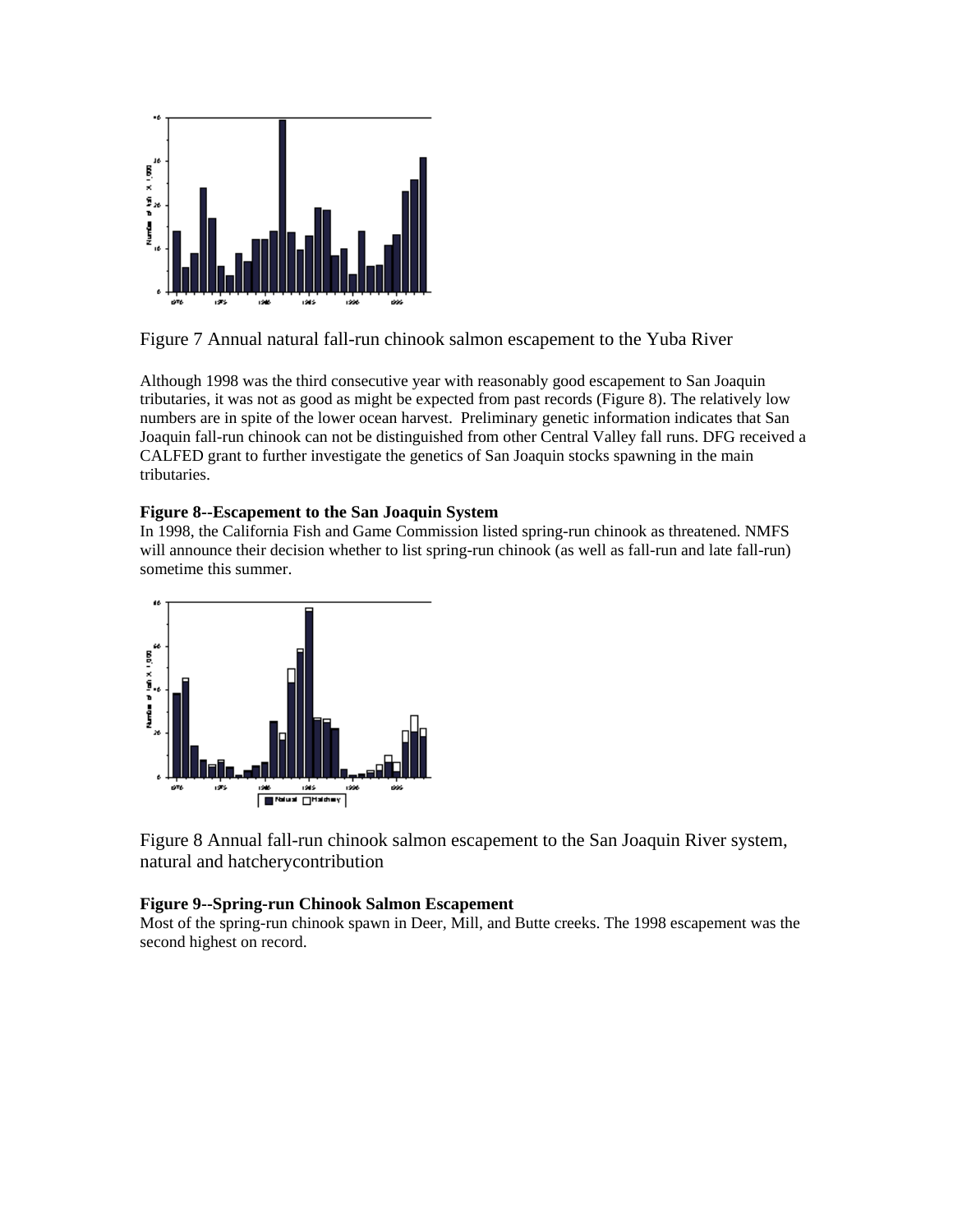

Figure 7 Annual natural fall-run chinook salmon escapement to the Yuba River

Although 1998 was the third consecutive year with reasonably good escapement to San Joaquin tributaries, it was not as good as might be expected from past records (Figure 8). The relatively low numbers are in spite of the lower ocean harvest. Preliminary genetic information indicates that San Joaquin fall-run chinook can not be distinguished from other Central Valley fall runs. DFG received a CALFED grant to further investigate the genetics of San Joaquin stocks spawning in the main tributaries.

## **Figure 8--Escapement to the San Joaquin System**

In 1998, the California Fish and Game Commission listed spring-run chinook as threatened. NMFS will announce their decision whether to list spring-run chinook (as well as fall-run and late fall-run) sometime this summer.



Figure 8 Annual fall-run chinook salmon escapement to the San Joaquin River system, natural and hatcherycontribution

## **Figure 9--Spring-run Chinook Salmon Escapement**

Most of the spring-run chinook spawn in Deer, Mill, and Butte creeks. The 1998 escapement was the second highest on record.